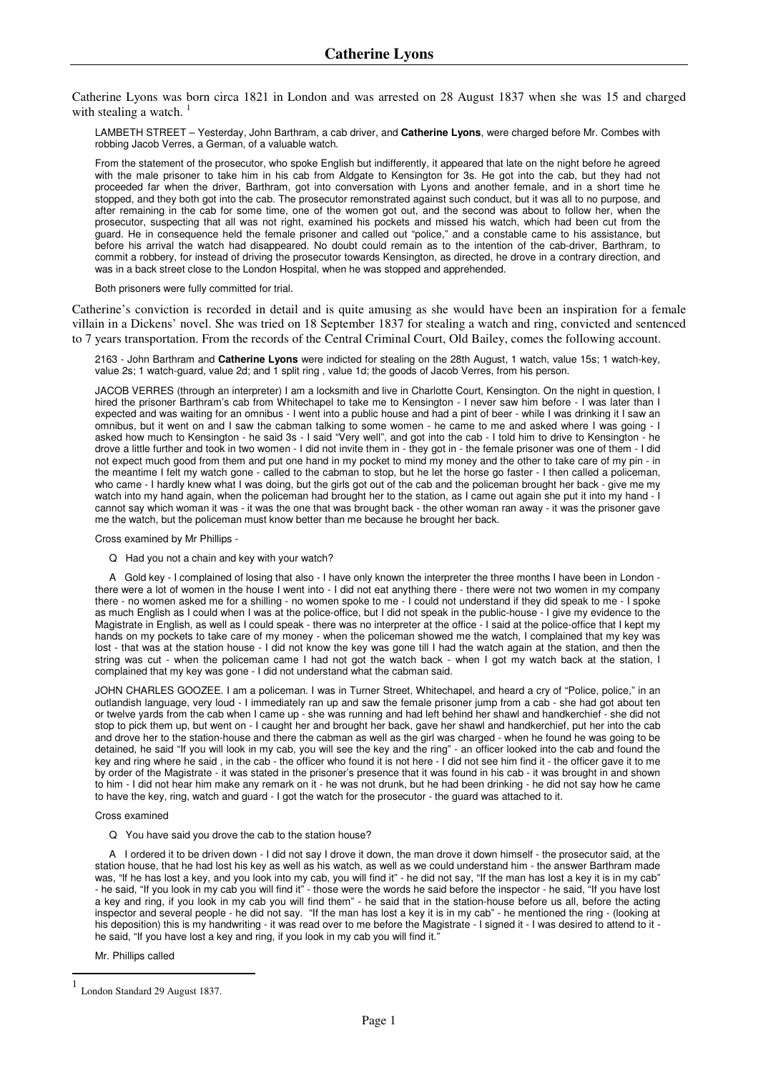Catherine Lyons was born circa 1821 in London and was arrested on 28 August 1837 when she was 15 and charged with stealing a watch.

LAMBETH STREET – Yesterday, John Barthram, a cab driver, and **Catherine Lyons**, were charged before Mr. Combes with robbing Jacob Verres, a German, of a valuable watch.

From the statement of the prosecutor, who spoke English but indifferently, it appeared that late on the night before he agreed with the male prisoner to take him in his cab from Aldgate to Kensington for 3s. He got into the cab, but they had not proceeded far when the driver, Barthram, got into conversation with Lyons and another female, and in a short time he stopped, and they both got into the cab. The prosecutor remonstrated against such conduct, but it was all to no purpose, and after remaining in the cab for some time, one of the women got out, and the second was about to follow her, when the prosecutor, suspecting that all was not right, examined his pockets and missed his watch, which had been cut from the guard. He in consequence held the female prisoner and called out "police," and a constable came to his assistance, but before his arrival the watch had disappeared. No doubt could remain as to the intention of the cab-driver, Barthram, to commit a robbery, for instead of driving the prosecutor towards Kensington, as directed, he drove in a contrary direction, and was in a back street close to the London Hospital, when he was stopped and apprehended.

Both prisoners were fully committed for trial.

Catherine's conviction is recorded in detail and is quite amusing as she would have been an inspiration for a female villain in a Dickens' novel. She was tried on 18 September 1837 for stealing a watch and ring, convicted and sentenced to 7 years transportation. From the records of the Central Criminal Court, Old Bailey, comes the following account.

2163 - John Barthram and **Catherine Lyons** were indicted for stealing on the 28th August, 1 watch, value 15s; 1 watch-key, value 2s; 1 watch-guard, value 2d; and 1 split ring , value 1d; the goods of Jacob Verres, from his person.

JACOB VERRES (through an interpreter) I am a locksmith and live in Charlotte Court, Kensington. On the night in question, I hired the prisoner Barthram's cab from Whitechapel to take me to Kensington - I never saw him before - I was later than I expected and was waiting for an omnibus - I went into a public house and had a pint of beer - while I was drinking it I saw an omnibus, but it went on and I saw the cabman talking to some women - he came to me and asked where I was going - I asked how much to Kensington - he said 3s - I said "Very well", and got into the cab - I told him to drive to Kensington - he drove a little further and took in two women - I did not invite them in - they got in - the female prisoner was one of them - I did not expect much good from them and put one hand in my pocket to mind my money and the other to take care of my pin - in the meantime I felt my watch gone - called to the cabman to stop, but he let the horse go faster - I then called a policeman, who came - I hardly knew what I was doing, but the girls got out of the cab and the policeman brought her back - give me my watch into my hand again, when the policeman had brought her to the station, as I came out again she put it into my hand - I cannot say which woman it was - it was the one that was brought back - the other woman ran away - it was the prisoner gave me the watch, but the policeman must know better than me because he brought her back.

Cross examined by Mr Phillips -

Q Had you not a chain and key with your watch?

 A Gold key - I complained of losing that also - I have only known the interpreter the three months I have been in London there were a lot of women in the house I went into - I did not eat anything there - there were not two women in my company there - no women asked me for a shilling - no women spoke to me - I could not understand if they did speak to me - I spoke as much English as I could when I was at the police-office, but I did not speak in the public-house - I give my evidence to the Magistrate in English, as well as I could speak - there was no interpreter at the office - I said at the police-office that I kept my hands on my pockets to take care of my money - when the policeman showed me the watch, I complained that my key was lost - that was at the station house - I did not know the key was gone till I had the watch again at the station, and then the string was cut - when the policeman came I had not got the watch back - when I got my watch back at the station, I complained that my key was gone - I did not understand what the cabman said.

JOHN CHARLES GOOZEE. I am a policeman. I was in Turner Street, Whitechapel, and heard a cry of "Police, police," in an outlandish language, very loud - I immediately ran up and saw the female prisoner jump from a cab - she had got about ten or twelve yards from the cab when I came up - she was running and had left behind her shawl and handkerchief - she did not stop to pick them up, but went on - I caught her and brought her back, gave her shawl and handkerchief, put her into the cab and drove her to the station-house and there the cabman as well as the girl was charged - when he found he was going to be detained, he said "If you will look in my cab, you will see the key and the ring" - an officer looked into the cab and found the key and ring where he said , in the cab - the officer who found it is not here - I did not see him find it - the officer gave it to me by order of the Magistrate - it was stated in the prisoner's presence that it was found in his cab - it was brought in and shown to him - I did not hear him make any remark on it - he was not drunk, but he had been drinking - he did not say how he came to have the key, ring, watch and guard - I got the watch for the prosecutor - the guard was attached to it.

Cross examined

Q You have said you drove the cab to the station house?

 A I ordered it to be driven down - I did not say I drove it down, the man drove it down himself - the prosecutor said, at the station house, that he had lost his key as well as his watch, as well as we could understand him - the answer Barthram made was, "If he has lost a key, and you look into my cab, you will find it" - he did not say, "If the man has lost a key it is in my cab" - he said, "If you look in my cab you will find it" - those were the words he said before the inspector - he said, "If you have lost a key and ring, if you look in my cab you will find them" - he said that in the station-house before us all, before the acting inspector and several people - he did not say. "If the man has lost a key it is in my cab" - he mentioned the ring - (looking at his deposition) this is my handwriting - it was read over to me before the Magistrate - I signed it - I was desired to attend to it he said, "If you have lost a key and ring, if you look in my cab you will find it."

Mr. Phillips called

 $\overline{\phantom{a}}$ 

<sup>1</sup> London Standard 29 August 1837.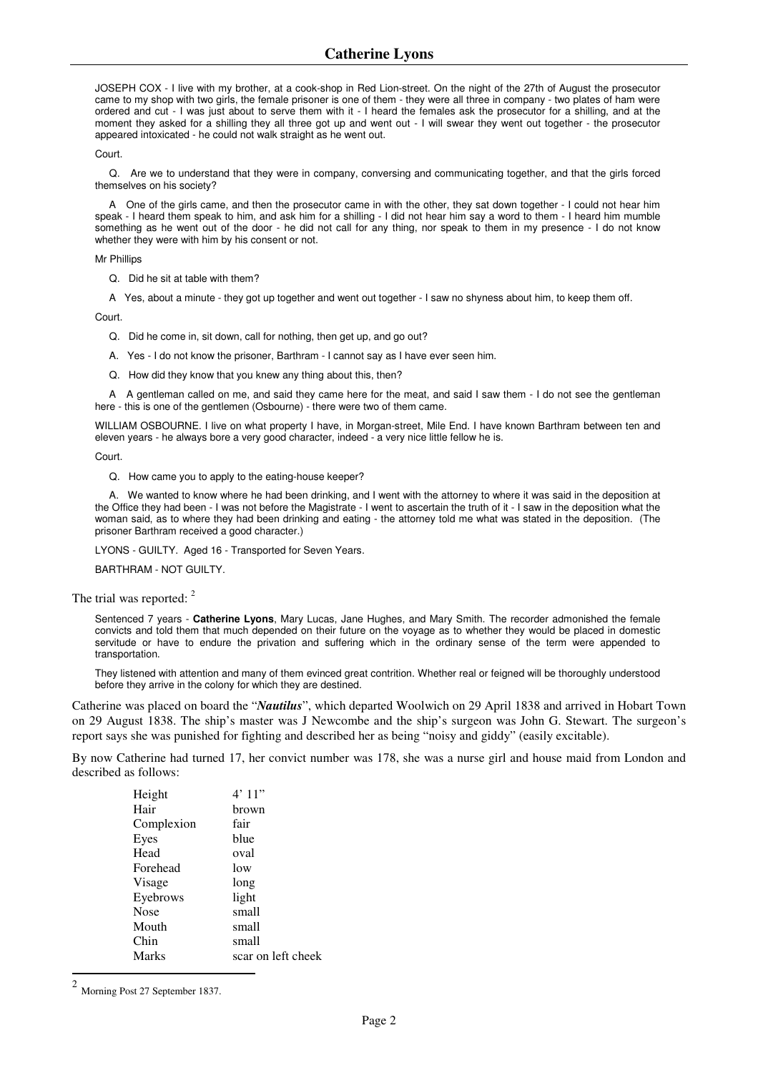JOSEPH COX - I live with my brother, at a cook-shop in Red Lion-street. On the night of the 27th of August the prosecutor came to my shop with two girls, the female prisoner is one of them - they were all three in company - two plates of ham were ordered and cut - I was just about to serve them with it - I heard the females ask the prosecutor for a shilling, and at the moment they asked for a shilling they all three got up and went out - I will swear they went out together - the prosecutor appeared intoxicated - he could not walk straight as he went out.

Court.

 Q. Are we to understand that they were in company, conversing and communicating together, and that the girls forced themselves on his society?

 A One of the girls came, and then the prosecutor came in with the other, they sat down together - I could not hear him speak - I heard them speak to him, and ask him for a shilling - I did not hear him say a word to them - I heard him mumble something as he went out of the door - he did not call for any thing, nor speak to them in my presence - I do not know whether they were with him by his consent or not.

Mr Phillips

Q. Did he sit at table with them?

A Yes, about a minute - they got up together and went out together - I saw no shyness about him, to keep them off.

Court.

Q. Did he come in, sit down, call for nothing, then get up, and go out?

A. Yes - I do not know the prisoner, Barthram - I cannot say as I have ever seen him.

Q. How did they know that you knew any thing about this, then?

 A A gentleman called on me, and said they came here for the meat, and said I saw them - I do not see the gentleman here - this is one of the gentlemen (Osbourne) - there were two of them came.

WILLIAM OSBOURNE. I live on what property I have, in Morgan-street, Mile End. I have known Barthram between ten and eleven years - he always bore a very good character, indeed - a very nice little fellow he is.

Court.

Q. How came you to apply to the eating-house keeper?

 A. We wanted to know where he had been drinking, and I went with the attorney to where it was said in the deposition at the Office they had been - I was not before the Magistrate - I went to ascertain the truth of it - I saw in the deposition what the woman said, as to where they had been drinking and eating - the attorney told me what was stated in the deposition. (The prisoner Barthram received a good character.)

LYONS - GUILTY. Aged 16 - Transported for Seven Years.

BARTHRAM - NOT GUILTY.

The trial was reported: 2

Sentenced 7 years - **Catherine Lyons**, Mary Lucas, Jane Hughes, and Mary Smith. The recorder admonished the female convicts and told them that much depended on their future on the voyage as to whether they would be placed in domestic servitude or have to endure the privation and suffering which in the ordinary sense of the term were appended to transportation.

They listened with attention and many of them evinced great contrition. Whether real or feigned will be thoroughly understood before they arrive in the colony for which they are destined.

Catherine was placed on board the "*Nautilus*", which departed Woolwich on 29 April 1838 and arrived in Hobart Town on 29 August 1838. The ship's master was J Newcombe and the ship's surgeon was John G. Stewart. The surgeon's report says she was punished for fighting and described her as being "noisy and giddy" (easily excitable).

By now Catherine had turned 17, her convict number was 178, she was a nurse girl and house maid from London and described as follows:

| Height       | 4'11"              |
|--------------|--------------------|
| Hair         | brown              |
| Complexion   | fair               |
| Eyes         | blue               |
| Head         | oval               |
| Forehead     | low                |
| Visage       | long               |
| Eyebrows     | light              |
| <b>Nose</b>  | small              |
| Mouth        | small              |
| Chin         | small              |
| <b>Marks</b> | scar on left cheek |

<sup>2</sup> Morning Post 27 September 1837.

 $\overline{a}$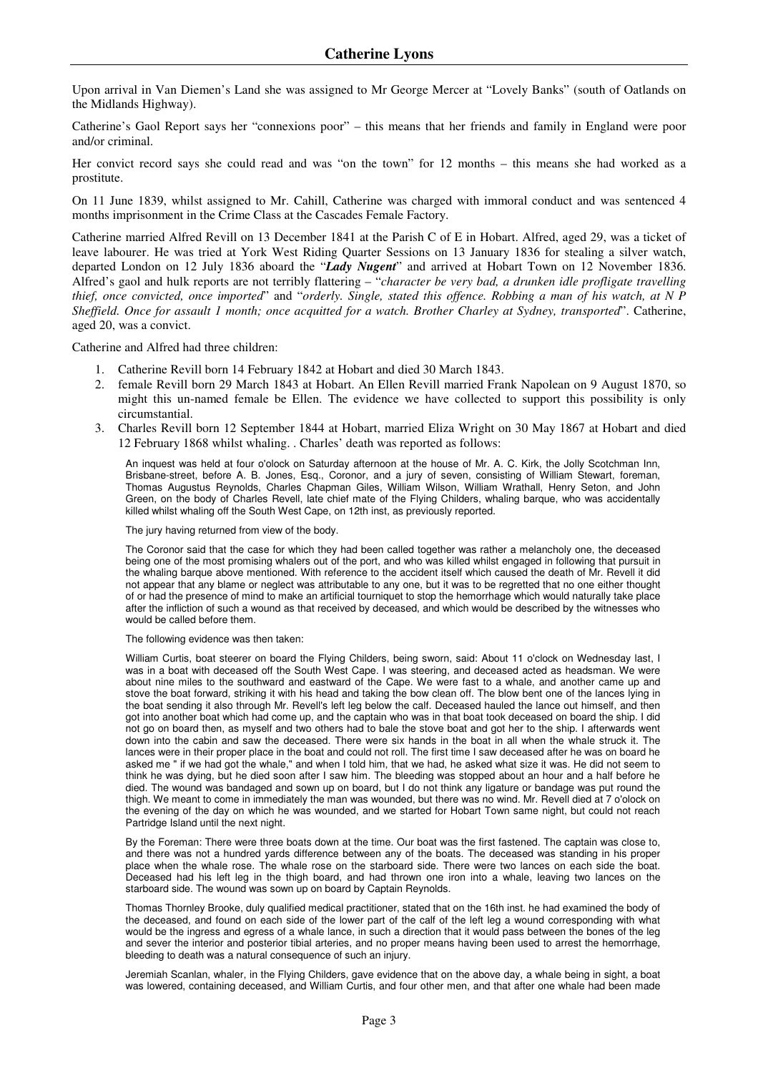Upon arrival in Van Diemen's Land she was assigned to Mr George Mercer at "Lovely Banks" (south of Oatlands on the Midlands Highway).

Catherine's Gaol Report says her "connexions poor" – this means that her friends and family in England were poor and/or criminal.

Her convict record says she could read and was "on the town" for 12 months – this means she had worked as a prostitute.

On 11 June 1839, whilst assigned to Mr. Cahill, Catherine was charged with immoral conduct and was sentenced 4 months imprisonment in the Crime Class at the Cascades Female Factory.

Catherine married Alfred Revill on 13 December 1841 at the Parish C of E in Hobart. Alfred, aged 29, was a ticket of leave labourer. He was tried at York West Riding Quarter Sessions on 13 January 1836 for stealing a silver watch, departed London on 12 July 1836 aboard the "*Lady Nugent*" and arrived at Hobart Town on 12 November 1836. Alfred's gaol and hulk reports are not terribly flattering – "*character be very bad, a drunken idle profligate travelling thief, once convicted, once imported*" and "*orderly. Single, stated this offence. Robbing a man of his watch, at N P Sheffield. Once for assault 1 month; once acquitted for a watch. Brother Charley at Sydney, transported*". Catherine, aged 20, was a convict.

Catherine and Alfred had three children:

- 1. Catherine Revill born 14 February 1842 at Hobart and died 30 March 1843.
- 2. female Revill born 29 March 1843 at Hobart. An Ellen Revill married Frank Napolean on 9 August 1870, so might this un-named female be Ellen. The evidence we have collected to support this possibility is only circumstantial.
- 3. Charles Revill born 12 September 1844 at Hobart, married Eliza Wright on 30 May 1867 at Hobart and died 12 February 1868 whilst whaling. . Charles' death was reported as follows:

An inquest was held at four o'olock on Saturday afternoon at the house of Mr. A. C. Kirk, the Jolly Scotchman Inn, Brisbane-street, before A. B. Jones, Esq., Coronor, and a jury of seven, consisting of William Stewart, foreman, Thomas Augustus Reynolds, Charles Chapman Giles, William Wilson, William Wrathall, Henry Seton, and John Green, on the body of Charles Revell, late chief mate of the Flying Childers, whaling barque, who was accidentally killed whilst whaling off the South West Cape, on 12th inst, as previously reported.

The jury having returned from view of the body.

The Coronor said that the case for which they had been called together was rather a melancholy one, the deceased being one of the most promising whalers out of the port, and who was killed whilst engaged in following that pursuit in the whaling barque above mentioned. With reference to the accident itself which caused the death of Mr. Revell it did not appear that any blame or neglect was attributable to any one, but it was to be regretted that no one either thought of or had the presence of mind to make an artificial tourniquet to stop the hemorrhage which would naturally take place after the infliction of such a wound as that received by deceased, and which would be described by the witnesses who would be called before them.

The following evidence was then taken:

William Curtis, boat steerer on board the Flying Childers, being sworn, said: About 11 o'clock on Wednesday last, I was in a boat with deceased off the South West Cape. I was steering, and deceased acted as headsman. We were about nine miles to the southward and eastward of the Cape. We were fast to a whale, and another came up and stove the boat forward, striking it with his head and taking the bow clean off. The blow bent one of the lances lying in the boat sending it also through Mr. Revell's left leg below the calf. Deceased hauled the lance out himself, and then got into another boat which had come up, and the captain who was in that boat took deceased on board the ship. I did not go on board then, as myself and two others had to bale the stove boat and got her to the ship. I afterwards went down into the cabin and saw the deceased. There were six hands in the boat in all when the whale struck it. The lances were in their proper place in the boat and could not roll. The first time I saw deceased after he was on board he asked me " if we had got the whale," and when I told him, that we had, he asked what size it was. He did not seem to think he was dying, but he died soon after I saw him. The bleeding was stopped about an hour and a half before he died. The wound was bandaged and sown up on board, but I do not think any ligature or bandage was put round the thigh. We meant to come in immediately the man was wounded, but there was no wind. Mr. Revell died at 7 o'olock on the evening of the day on which he was wounded, and we started for Hobart Town same night, but could not reach Partridge Island until the next night.

By the Foreman: There were three boats down at the time. Our boat was the first fastened. The captain was close to, and there was not a hundred yards difference between any of the boats. The deceased was standing in his proper place when the whale rose. The whale rose on the starboard side. There were two lances on each side the boat. Deceased had his left leg in the thigh board, and had thrown one iron into a whale, leaving two lances on the starboard side. The wound was sown up on board by Captain Reynolds.

Thomas Thornley Brooke, duly qualified medical practitioner, stated that on the 16th inst. he had examined the body of the deceased, and found on each side of the lower part of the calf of the left leg a wound corresponding with what would be the ingress and egress of a whale lance, in such a direction that it would pass between the bones of the leg and sever the interior and posterior tibial arteries, and no proper means having been used to arrest the hemorrhage, bleeding to death was a natural consequence of such an injury.

Jeremiah Scanlan, whaler, in the Flying Childers, gave evidence that on the above day, a whale being in sight, a boat was lowered, containing deceased, and William Curtis, and four other men, and that after one whale had been made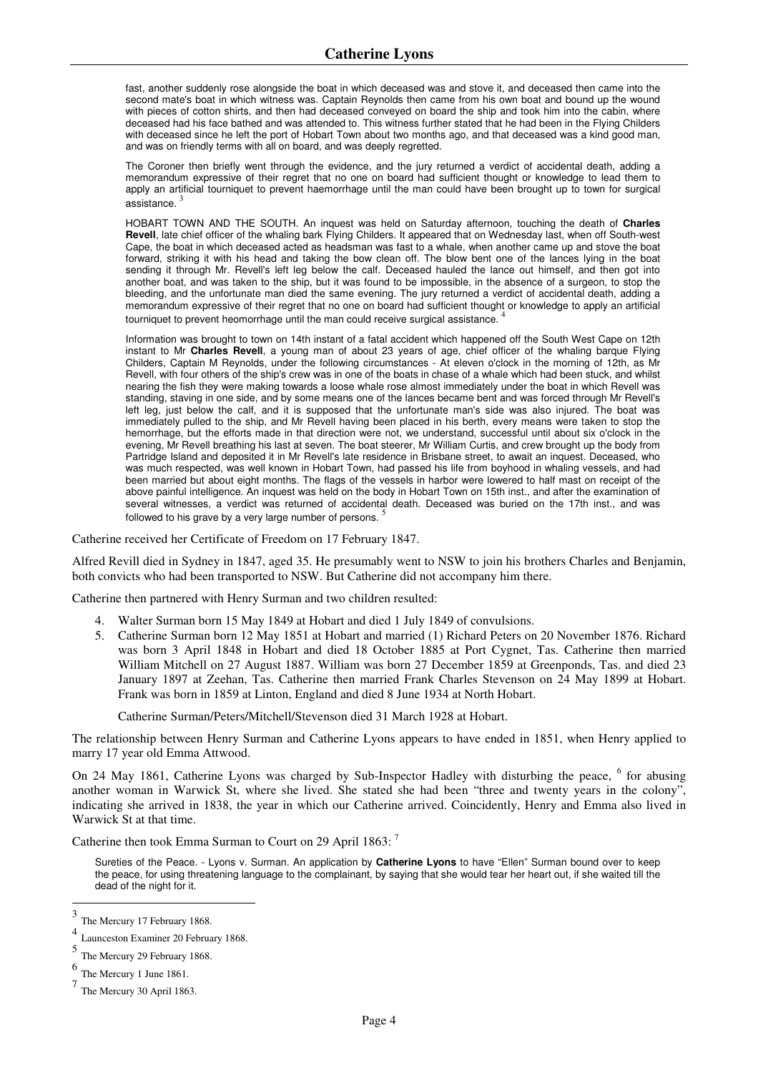fast, another suddenly rose alongside the boat in which deceased was and stove it, and deceased then came into the second mate's boat in which witness was. Captain Reynolds then came from his own boat and bound up the wound with pieces of cotton shirts, and then had deceased conveyed on board the ship and took him into the cabin, where deceased had his face bathed and was attended to. This witness further stated that he had been in the Flying Childers with deceased since he left the port of Hobart Town about two months ago, and that deceased was a kind good man, and was on friendly terms with all on board, and was deeply regretted.

The Coroner then briefly went through the evidence, and the jury returned a verdict of accidental death, adding a memorandum expressive of their regret that no one on board had sufficient thought or knowledge to lead them to apply an artificial tourniquet to prevent haemorrhage until the man could have been brought up to town for surgical assistance.

HOBART TOWN AND THE SOUTH. An inquest was held on Saturday afternoon, touching the death of **Charles Revell**, late chief officer of the whaling bark Flying Childers. It appeared that on Wednesday last, when off South-west Cape, the boat in which deceased acted as headsman was fast to a whale, when another came up and stove the boat forward, striking it with his head and taking the bow clean off. The blow bent one of the lances lying in the boat sending it through Mr. Revell's left leg below the calf. Deceased hauled the lance out himself, and then got into another boat, and was taken to the ship, but it was found to be impossible, in the absence of a surgeon, to stop the bleeding, and the unfortunate man died the same evening. The jury returned a verdict of accidental death, adding a memorandum expressive of their regret that no one on board had sufficient thought or knowledge to apply an artificial tourniquet to prevent heomorrhage until the man could receive surgical assistance.

Information was brought to town on 14th instant of a fatal accident which happened off the South West Cape on 12th instant to Mr **Charles Revell**, a young man of about 23 years of age, chief officer of the whaling barque Flying Childers, Captain M Reynolds, under the following circumstances - At eleven o'clock in the morning of 12th, as Mr Revell, with four others of the ship's crew was in one of the boats in chase of a whale which had been stuck, and whilst nearing the fish they were making towards a loose whale rose almost immediately under the boat in which Revell was standing, staving in one side, and by some means one of the lances became bent and was forced through Mr Revell's left leg, just below the calf, and it is supposed that the unfortunate man's side was also injured. The boat was immediately pulled to the ship, and Mr Revell having been placed in his berth, every means were taken to stop the hemorrhage, but the efforts made in that direction were not, we understand, successful until about six o'clock in the evening, Mr Revell breathing his last at seven. The boat steerer, Mr William Curtis, and crew brought up the body from Partridge Island and deposited it in Mr Revell's late residence in Brisbane street, to await an inquest. Deceased, who was much respected, was well known in Hobart Town, had passed his life from boyhood in whaling vessels, and had been married but about eight months. The flags of the vessels in harbor were lowered to half mast on receipt of the above painful intelligence. An inquest was held on the body in Hobart Town on 15th inst., and after the examination of several witnesses, a verdict was returned of accidental death. Deceased was buried on the 17th inst., and was followed to his grave by a very large number of persons. 5

Catherine received her Certificate of Freedom on 17 February 1847.

Alfred Revill died in Sydney in 1847, aged 35. He presumably went to NSW to join his brothers Charles and Benjamin, both convicts who had been transported to NSW. But Catherine did not accompany him there.

Catherine then partnered with Henry Surman and two children resulted:

- 4. Walter Surman born 15 May 1849 at Hobart and died 1 July 1849 of convulsions.
- 5. Catherine Surman born 12 May 1851 at Hobart and married (1) Richard Peters on 20 November 1876. Richard was born 3 April 1848 in Hobart and died 18 October 1885 at Port Cygnet, Tas. Catherine then married William Mitchell on 27 August 1887. William was born 27 December 1859 at Greenponds, Tas. and died 23 January 1897 at Zeehan, Tas. Catherine then married Frank Charles Stevenson on 24 May 1899 at Hobart. Frank was born in 1859 at Linton, England and died 8 June 1934 at North Hobart.

Catherine Surman/Peters/Mitchell/Stevenson died 31 March 1928 at Hobart.

The relationship between Henry Surman and Catherine Lyons appears to have ended in 1851, when Henry applied to marry 17 year old Emma Attwood.

On 24 May 1861, Catherine Lyons was charged by Sub-Inspector Hadley with disturbing the peace, <sup>6</sup> for abusing another woman in Warwick St, where she lived. She stated she had been "three and twenty years in the colony", indicating she arrived in 1838, the year in which our Catherine arrived. Coincidently, Henry and Emma also lived in Warwick St at that time.

Catherine then took Emma Surman to Court on 29 April 1863: <sup>7</sup>

Sureties of the Peace. - Lyons v. Surman. An application by **Catherine Lyons** to have "Ellen" Surman bound over to keep the peace, for using threatening language to the complainant, by saying that she would tear her heart out, if she waited till the dead of the night for it.

 3 The Mercury 17 February 1868.

<sup>4</sup> Launceston Examiner 20 February 1868.

<sup>5</sup> The Mercury 29 February 1868.

<sup>6</sup> The Mercury 1 June 1861.

<sup>7</sup> The Mercury 30 April 1863.